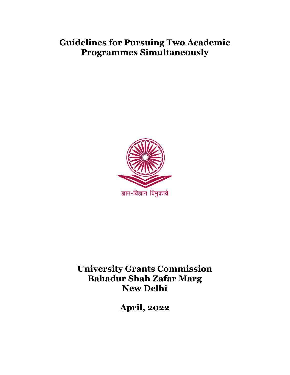# **Guidelines for Pursuing Two Academic Programmes Simultaneously**



**University Grants Commission Bahadur Shah Zafar Marg New Delhi**

**April, 2022**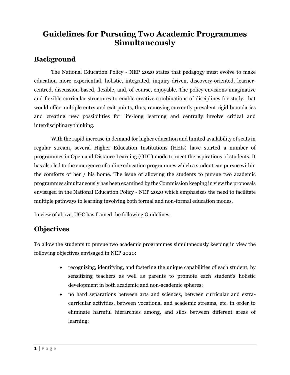## **Guidelines for Pursuing Two Academic Programmes Simultaneously**

#### **Background**

The National Education Policy - NEP 2020 states that pedagogy must evolve to make education more experiential, holistic, integrated, inquiry-driven, discovery-oriented, learnercentred, discussion-based, flexible, and, of course, enjoyable. The policy envisions imaginative and flexible curricular structures to enable creative combinations of disciplines for study, that would offer multiple entry and exit points, thus, removing currently prevalent rigid boundaries and creating new possibilities for life-long learning and centrally involve critical and interdisciplinary thinking.

With the rapid increase in demand for higher education and limited availability of seats in regular stream, several Higher Education Institutions (HEIs) have started a number of programmes in Open and Distance Learning (ODL) mode to meet the aspirations of students. It has also led to the emergence of online education programmes which a student can pursue within the comforts of her / his home. The issue of allowing the students to pursue two academic programmes simultaneously has been examined by the Commission keeping in view the proposals envisaged in the National Education Policy - NEP 2020 which emphasizes the need to facilitate multiple pathways to learning involving both formal and non-formal education modes.

In view of above, UGC has framed the following Guidelines.

#### **Objectives**

To allow the students to pursue two academic programmes simultaneously keeping in view the following objectives envisaged in NEP 2020:

- recognizing, identifying, and fostering the unique capabilities of each student, by sensitizing teachers as well as parents to promote each student's holistic development in both academic and non-academic spheres;
- no hard separations between arts and sciences, between curricular and extracurricular activities, between vocational and academic streams, etc. in order to eliminate harmful hierarchies among, and silos between different areas of learning;